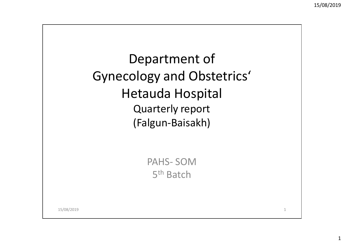1

Department of Gynecology and Obstetrics'Hetauda Hospital Quarterly report(Falgun-Baisakh)

> PAHS- SOM5<sup>th</sup> Batch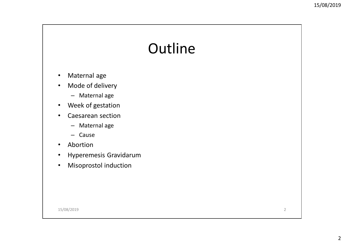## **Outline**

- •Maternal age
- • Mode of delivery
	- Maternal age
- $\bullet$ Week of gestation
- • Caesarean section
	- Maternal age
	- Cause
- •Abortion
- $\bullet$ Hyperemesis Gravidarum
- $\bullet$ Misoprostol induction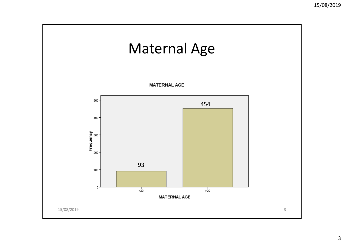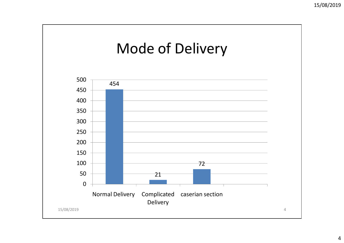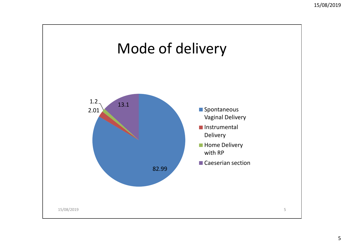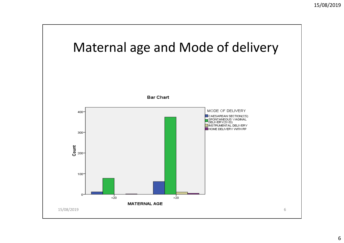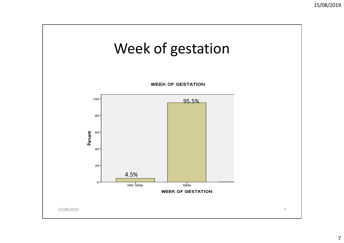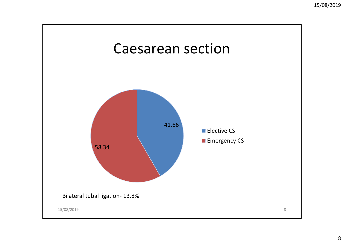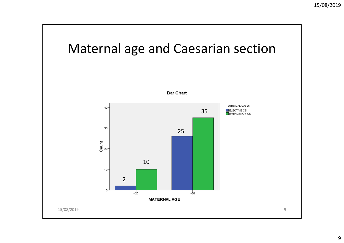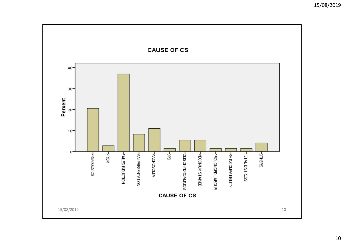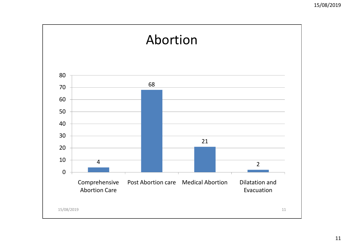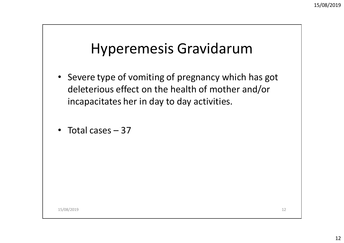## Hyperemesis Gravidarum

- Severe type of vomiting of pregnancy which has got deleterious effect on the health of mother and/or incapacitates her in day to day activities.
- Total cases 37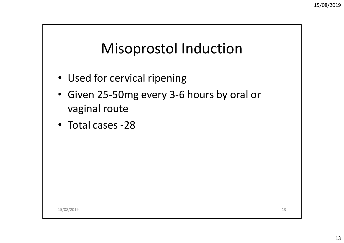## Misoprostol Induction

- Used for cervical ripening
- Given 25-50mg every 3-6 hours by oral or vaginal route
- Total cases -28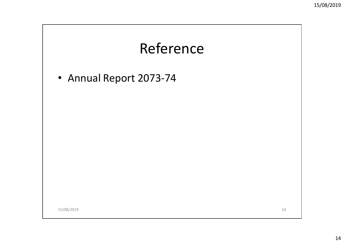